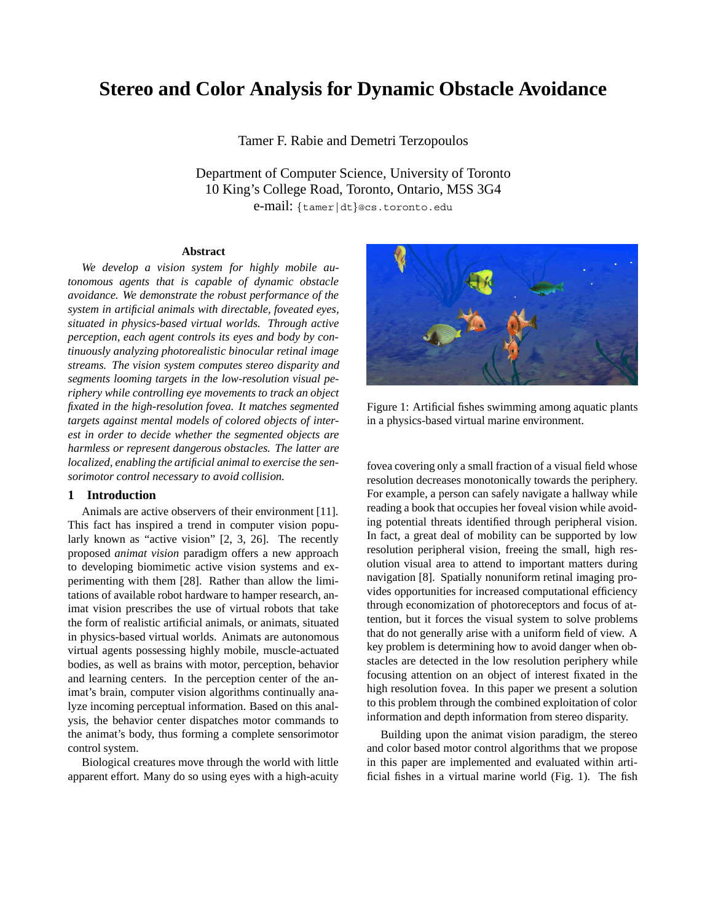# **Stereo and Color Analysis for Dynamic Obstacle Avoidance**

Tamer F. Rabie and Demetri Terzopoulos

Department of Computer Science, University of Toronto 10 King's College Road, Toronto, Ontario, M5S 3G4 e-mail: {tamer|dt}@cs.toronto.edu

## **Abstract**

*We develop a vision system for highly mobile autonomous agents that is capable of dynamic obstacle avoidance. We demonstrate the robust performance of the system in artificial animals with directable, foveated eyes, situated in physics-based virtual worlds. Through active perception, each agent controls its eyes and body by continuously analyzing photorealistic binocular retinal image streams. The vision system computes stereo disparity and segments looming targets in the low-resolution visual periphery while controlling eye movements to track an object fixated in the high-resolution fovea. It matches segmented targets against mental models of colored objects of interest in order to decide whether the segmented objects are harmless or represent dangerous obstacles. The latter are localized, enabling the artificial animal to exercise the sensorimotor control necessary to avoid collision.*

## **1 Introduction**

Animals are active observers of their environment [11]. This fact has inspired a trend in computer vision popularly known as "active vision" [2, 3, 26]. The recently proposed *animat vision* paradigm offers a new approach to developing biomimetic active vision systems and experimenting with them [28]. Rather than allow the limitations of available robot hardware to hamper research, animat vision prescribes the use of virtual robots that take the form of realistic artificial animals, or animats, situated in physics-based virtual worlds. Animats are autonomous virtual agents possessing highly mobile, muscle-actuated bodies, as well as brains with motor, perception, behavior and learning centers. In the perception center of the animat's brain, computer vision algorithms continually analyze incoming perceptual information. Based on this analysis, the behavior center dispatches motor commands to the animat's body, thus forming a complete sensorimotor control system.

Biological creatures move through the world with little apparent effort. Many do so using eyes with a high-acuity



Figure 1: Artificial fishes swimming among aquatic plants in a physics-based virtual marine environment.

fovea covering only a small fraction of a visual field whose resolution decreases monotonically towards the periphery. For example, a person can safely navigate a hallway while reading a book that occupies her foveal vision while avoiding potential threats identified through peripheral vision. In fact, a great deal of mobility can be supported by low resolution peripheral vision, freeing the small, high resolution visual area to attend to important matters during navigation [8]. Spatially nonuniform retinal imaging provides opportunities for increased computational efficiency through economization of photoreceptors and focus of attention, but it forces the visual system to solve problems that do not generally arise with a uniform field of view. A key problem is determining how to avoid danger when obstacles are detected in the low resolution periphery while focusing attention on an object of interest fixated in the high resolution fovea. In this paper we present a solution to this problem through the combined exploitation of color information and depth information from stereo disparity.

Building upon the animat vision paradigm, the stereo and color based motor control algorithms that we propose in this paper are implemented and evaluated within artificial fishes in a virtual marine world (Fig. 1). The fish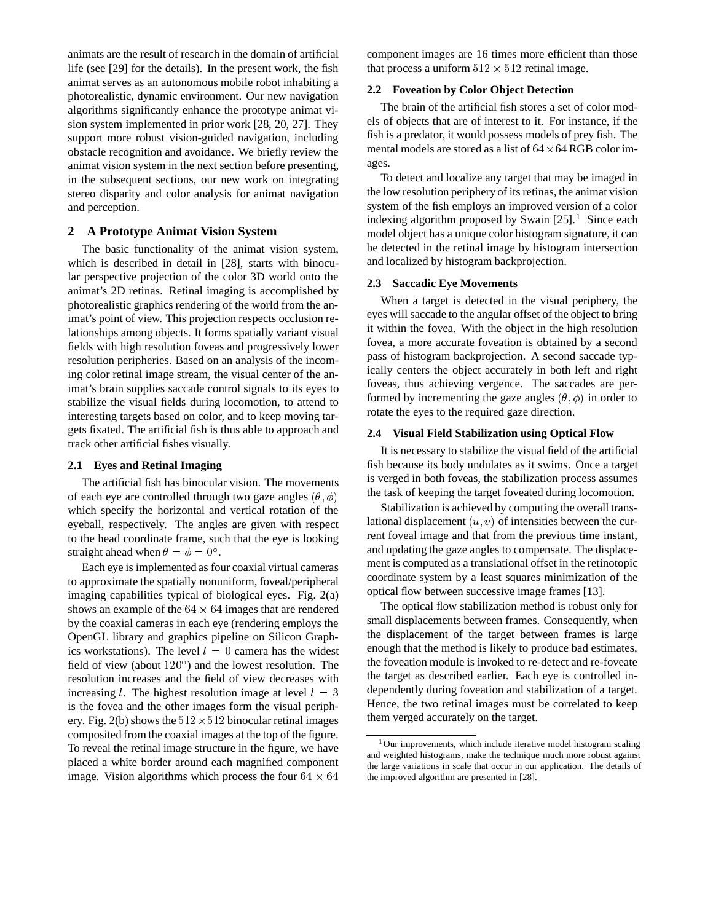animats are the result of research in the domain of artificial life (see [29] for the details). In the present work, the fish animat serves as an autonomous mobile robot inhabiting a photorealistic, dynamic environment. Our new navigation algorithms significantly enhance the prototype animat vision system implemented in prior work [28, 20, 27]. They support more robust vision-guided navigation, including obstacle recognition and avoidance. We briefly review the animat vision system in the next section before presenting, in the subsequent sections, our new work on integrating stereo disparity and color analysis for animat navigation and perception.

## **2 A Prototype Animat Vision System**

The basic functionality of the animat vision system, which is described in detail in [28], starts with binocular perspective projection of the color 3D world onto the animat's 2D retinas. Retinal imaging is accomplished by photorealistic graphics rendering of the world from the animat's point of view. This projection respects occlusion relationships among objects. It forms spatially variant visual fields with high resolution foveas and progressively lower resolution peripheries. Based on an analysis of the incoming color retinal image stream, the visual center of the animat's brain supplies saccade control signals to its eyes to stabilize the visual fields during locomotion, to attend to interesting targets based on color, and to keep moving targets fixated. The artificial fish is thus able to approach and track other artificial fishes visually.

## **2.1 Eyes and Retinal Imaging**

The artificial fish has binocular vision. The movements of each eye are controlled through two gaze angles  $(\theta, \phi)$ which specify the horizontal and vertical rotation of the eyeball, respectively. The angles are given with respect to the head coordinate frame, such that the eye is looking straight ahead when  $\theta = \phi = 0^{\circ}$ .

Each eye is implemented as four coaxial virtual cameras to approximate the spatially nonuniform, foveal/peripheral imaging capabilities typical of biological eyes. Fig. 2(a) shows an example of the  $64 \times 64$  images that are rendered by the coaxial cameras in each eye (rendering employs the OpenGL library and graphics pipeline on Silicon Graphics workstations). The level  $l = 0$  camera has the widest field of view (about  $120^{\circ}$ ) and the lowest resolution. The resolution increases and the field of view decreases with increasing l. The highest resolution image at level  $l = 3$ is the fovea and the other images form the visual periphery. Fig. 2(b) shows the  $512 \times 512$  binocular retinal images composited from the coaxial images at the top of the figure. To reveal the retinal image structure in the figure, we have placed a white border around each magnified component image. Vision algorithms which process the four  $64 \times 64$  component images are 16 times more efficient than those that process a uniform  $512 \times 512$  retinal image.

## **2.2 Foveation by Color Object Detection**

The brain of the artificial fish stores a set of color models of objects that are of interest to it. For instance, if the fish is a predator, it would possess models of prey fish. The mental models are stored as a list of  $64 \times 64$  RGB color images.

To detect and localize any target that may be imaged in the low resolution periphery of its retinas, the animat vision system of the fish employs an improved version of a color indexing algorithm proposed by Swain [25]. Since each model object has a unique color histogram signature, it can be detected in the retinal image by histogram intersection and localized by histogram backprojection.

### **2.3 Saccadic Eye Movements**

When a target is detected in the visual periphery, the eyes will saccade to the angular offset of the object to bring it within the fovea. With the object in the high resolution fovea, a more accurate foveation is obtained by a second pass of histogram backprojection. A second saccade typically centers the object accurately in both left and right foveas, thus achieving vergence. The saccades are performed by incrementing the gaze angles  $(\theta, \phi)$  in order to rotate the eyes to the required gaze direction.

## **2.4 Visual Field Stabilization using Optical Flow**

It is necessary to stabilize the visual field of the artificial fish because its body undulates as it swims. Once a target is verged in both foveas, the stabilization process assumes the task of keeping the target foveated during locomotion.

Stabilization is achieved by computing the overall translational displacement  $(u, v)$  of intensities between the current foveal image and that from the previous time instant, and updating the gaze angles to compensate. The displacement is computed as a translational offset in the retinotopic coordinate system by a least squares minimization of the optical flow between successive image frames [13].

The optical flow stabilization method is robust only for small displacements between frames. Consequently, when the displacement of the target between frames is large enough that the method is likely to produce bad estimates, the foveation module is invoked to re-detect and re-foveate the target as described earlier. Each eye is controlled independently during foveation and stabilization of a target. Hence, the two retinal images must be correlated to keep them verged accurately on the target.

<sup>&</sup>lt;sup>1</sup>Our improvements, which include iterative model histogram scaling and weighted histograms, make the technique much more robust against the large variations in scale that occur in our application. The details of the improved algorithm are presented in [28].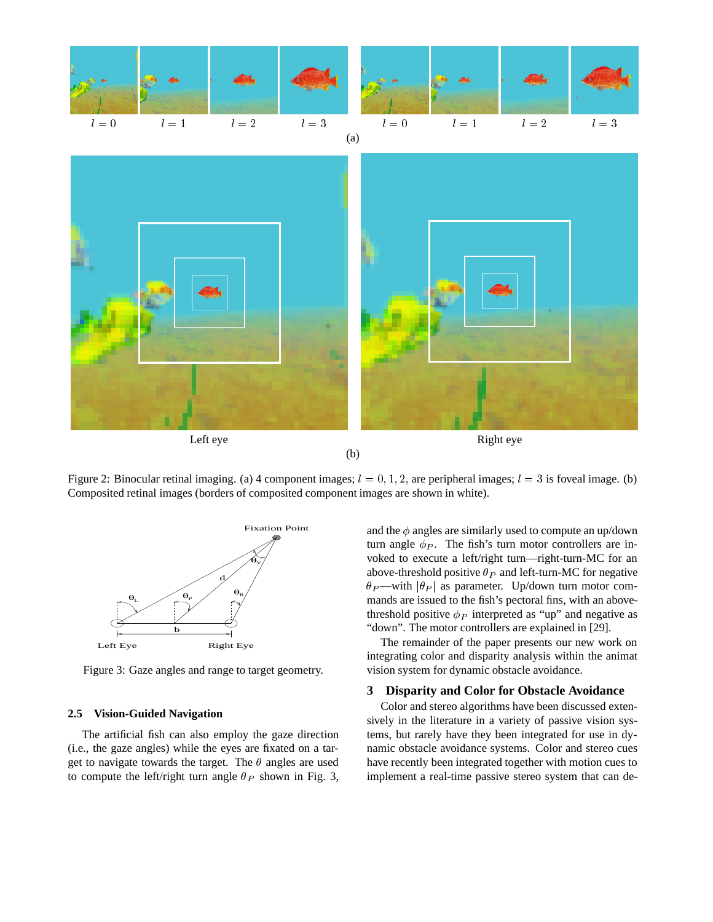

Figure 2: Binocular retinal imaging. (a) 4 component images;  $l = 0, 1, 2$ , are peripheral images;  $l = 3$  is foveal image. (b) Composited retinal images (borders of composited component images are shown in white).



Figure 3: Gaze angles and range to target geometry.

#### **2.5 Vision-Guided Navigation**

The artificial fish can also employ the gaze direction (i.e., the gaze angles) while the eyes are fixated on a target to navigate towards the target. The  $\theta$  angles are used to compute the left/right turn angle  $\theta_P$  shown in Fig. 3,

and the  $\phi$  angles are similarly used to compute an up/down turn angle  $\phi_P$ . The fish's turn motor controllers are invoked to execute a left/right turn—right-turn-MC for an above-threshold positive  $\theta_P$  and left-turn-MC for negative  $\theta_P$ —with  $|\theta_P|$  as parameter. Up/down turn motor commands are issued to the fish's pectoral fins, with an abovethreshold positive  $\phi_P$  interpreted as "up" and negative as "down". The motor controllers are explained in [29].

The remainder of the paper presents our new work on integrating color and disparity analysis within the animat vision system for dynamic obstacle avoidance.

## **3 Disparity and Color for Obstacle Avoidance**

Color and stereo algorithms have been discussed extensively in the literature in a variety of passive vision systems, but rarely have they been integrated for use in dynamic obstacle avoidance systems. Color and stereo cues have recently been integrated together with motion cues to implement a real-time passive stereo system that can de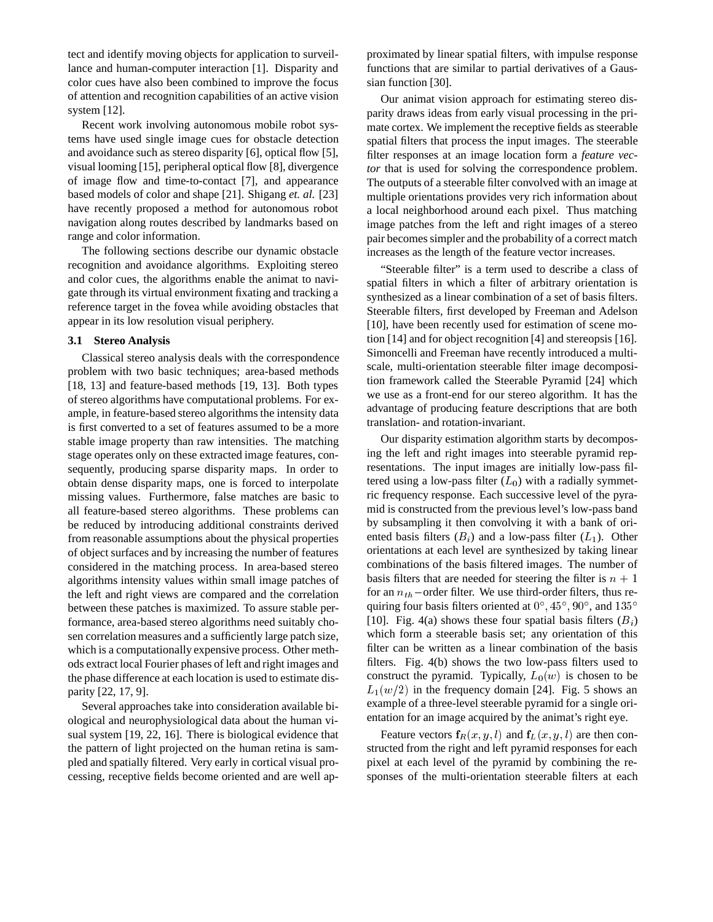tect and identify moving objects for application to surveillance and human-computer interaction [1]. Disparity and color cues have also been combined to improve the focus of attention and recognition capabilities of an active vision system [12].

Recent work involving autonomous mobile robot systems have used single image cues for obstacle detection and avoidance such as stereo disparity [6], optical flow [5], visual looming [15], peripheral optical flow [8], divergence of image flow and time-to-contact [7], and appearance based models of color and shape [21]. Shigang *et. al.* [23] have recently proposed a method for autonomous robot navigation along routes described by landmarks based on range and color information.

The following sections describe our dynamic obstacle recognition and avoidance algorithms. Exploiting stereo and color cues, the algorithms enable the animat to navigate through its virtual environment fixating and tracking a reference target in the fovea while avoiding obstacles that appear in its low resolution visual periphery.

## **3.1 Stereo Analysis**

Classical stereo analysis deals with the correspondence problem with two basic techniques; area-based methods [18, 13] and feature-based methods [19, 13]. Both types of stereo algorithms have computational problems. For example, in feature-based stereo algorithms the intensity data is first converted to a set of features assumed to be a more stable image property than raw intensities. The matching stage operates only on these extracted image features, consequently, producing sparse disparity maps. In order to obtain dense disparity maps, one is forced to interpolate missing values. Furthermore, false matches are basic to all feature-based stereo algorithms. These problems can be reduced by introducing additional constraints derived from reasonable assumptions about the physical properties of object surfaces and by increasing the number of features considered in the matching process. In area-based stereo algorithms intensity values within small image patches of the left and right views are compared and the correlation between these patches is maximized. To assure stable performance, area-based stereo algorithms need suitably chosen correlation measures and a sufficiently large patch size, which is a computationally expensive process. Other methods extract local Fourier phases of left and right images and the phase difference at each location is used to estimate disparity [22, 17, 9].

Several approaches take into consideration available biological and neurophysiological data about the human visual system [19, 22, 16]. There is biological evidence that the pattern of light projected on the human retina is sampled and spatially filtered. Very early in cortical visual processing, receptive fields become oriented and are well approximated by linear spatial filters, with impulse response functions that are similar to partial derivatives of a Gaussian function [30].

Our animat vision approach for estimating stereo disparity draws ideas from early visual processing in the primate cortex. We implement the receptive fields as steerable spatial filters that process the input images. The steerable filter responses at an image location form a *feature vector* that is used for solving the correspondence problem. The outputs of a steerable filter convolved with an image at multiple orientations provides very rich information about a local neighborhood around each pixel. Thus matching image patches from the left and right images of a stereo pair becomes simpler and the probability of a correct match increases as the length of the feature vector increases.

"Steerable filter" is a term used to describe a class of spatial filters in which a filter of arbitrary orientation is synthesized as a linear combination of a set of basis filters. Steerable filters, first developed by Freeman and Adelson [10], have been recently used for estimation of scene motion [14] and for object recognition [4] and stereopsis [16]. Simoncelli and Freeman have recently introduced a multiscale, multi-orientation steerable filter image decomposition framework called the Steerable Pyramid [24] which we use as a front-end for our stereo algorithm. It has the advantage of producing feature descriptions that are both translation- and rotation-invariant.

Our disparity estimation algorithm starts by decomposing the left and right images into steerable pyramid representations. The input images are initially low-pass filtered using a low-pass filter  $(L_0)$  with a radially symmetric frequency response. Each successive level of the pyramid is constructed from the previous level's low-pass band by subsampling it then convolving it with a bank of oriented basis filters  $(B_i)$  and a low-pass filter  $(L_1)$ . Other orientations at each level are synthesized by taking linear combinations of the basis filtered images. The number of basis filters that are needed for steering the filter is  $n + 1$ for an  $n_{th}$  – order filter. We use third-order filters, thus requiring four basis filters oriented at  $0^\circ$ ,  $45^\circ$ ,  $90^\circ$ , and  $135^\circ$ [10]. Fig. 4(a) shows these four spatial basis filters  $(B_i)$ which form a steerable basis set; any orientation of this filter can be written as a linear combination of the basis filters. Fig. 4(b) shows the two low-pass filters used to construct the pyramid. Typically,  $L_0(w)$  is chosen to be  $L_1(w/2)$  in the frequency domain [24]. Fig. 5 shows an example of a three-level steerable pyramid for a single orientation for an image acquired by the animat's right eye.

Feature vectors  $f_R(x, y, l)$  and  $f_L(x, y, l)$  are then constructed from the right and left pyramid responses for each pixel at each level of the pyramid by combining the responses of the multi-orientation steerable filters at each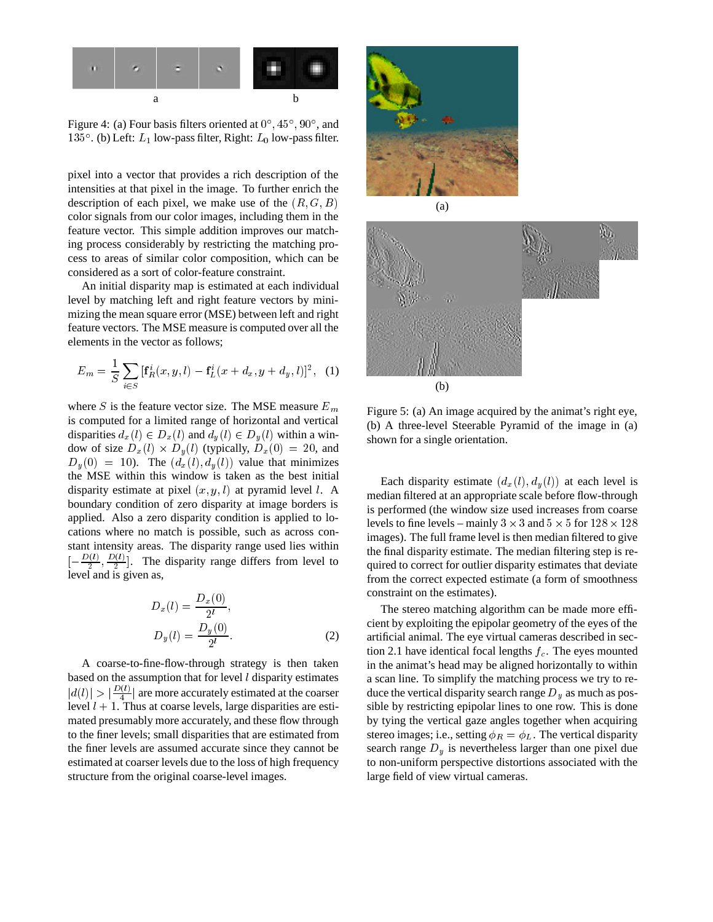

Figure 4: (a) Four basis filters oriented at  $0^{\circ}$ ,  $45^{\circ}$ ,  $90^{\circ}$ , and 135°. (b) Left:  $L_1$  low-pass filter, Right:  $L_0$  low-pass filter.

pixel into a vector that provides a rich description of the intensities at that pixel in the image. To further enrich the description of each pixel, we make use of the  $(R, G, B)$ color signals from our color images, including them in the feature vector. This simple addition improves our matching process considerably by restricting the matching process to areas of similar color composition, which can be considered as a sort of color-feature constraint.

An initial disparity map is estimated at each individual level by matching left and right feature vectors by minimizing the mean square error (MSE) between left and right feature vectors. The MSE measure is computed over all the elements in the vector as follows;

$$
E_m = \frac{1}{S} \sum_{i \in S} [\mathbf{f}_R^i(x, y, l) - \mathbf{f}_L^i(x + d_x, y + d_y, l)]^2, \tag{1}
$$

where S is the feature vector size. The MSE measure  $E_m$ is computed for a limited range of horizontal and vertical disparities  $d_x(l) \in D_x(l)$  and  $d_y(l) \in D_y(l)$  within a window of size  $D_x(l) \times D_y(l)$  (typically,  $D_x(0) = 20$ , and  $D_y(0) = 10$ . The  $(d_x(l), d_y(l))$  value that minimizes the MSE within this window is taken as the best initial disparity estimate at pixel  $(x, y, l)$  at pyramid level l. A boundary condition of zero disparity at image borders is applied. Also a zero disparity condition is applied to locations where no match is possible, such as across constant intensity areas. The disparity range used lies within  $\left[-\frac{D(t)}{2}, \frac{D(t)}{2}\right]$ . The disparity range differs from level to level and is given as,

$$
D_x(l) = \frac{D_x(0)}{2^l},
$$
  
\n
$$
D_y(l) = \frac{D_y(0)}{2^l}.
$$
\n(2)

A coarse-to-fine-flow-through strategy is then taken based on the assumption that for level  $l$  disparity estimates  $|d(l)| > |\frac{D(l)}{4}|$  are more accurately estimated at the coarser level  $l + 1$ . Thus at coarse levels, large disparities are estimated presumably more accurately, and these flow through to the finer levels; small disparities that are estimated from the finer levels are assumed accurate since they cannot be estimated at coarser levels due to the loss of high frequency structure from the original coarse-level images.





Figure 5: (a) An image acquired by the animat's right eye, (b) A three-level Steerable Pyramid of the image in (a) shown for a single orientation.

Each disparity estimate  $(d_x(l), d_y(l))$  at each level is median filtered at an appropriate scale before flow-through is performed (the window size used increases from coarse levels to fine levels – mainly  $3 \times 3$  and  $5 \times 5$  for  $128 \times 128$ images). The full frame level is then median filtered to give the final disparity estimate. The median filtering step is required to correct for outlier disparity estimates that deviate from the correct expected estimate (a form of smoothness constraint on the estimates).

The stereo matching algorithm can be made more efficient by exploiting the epipolar geometry of the eyes of the artificial animal. The eye virtual cameras described in section 2.1 have identical focal lengths  $f_c$ . The eyes mounted in the animat's head may be aligned horizontally to within a scan line. To simplify the matching process we try to reduce the vertical disparity search range  $D_y$  as much as possible by restricting epipolar lines to one row. This is done by tying the vertical gaze angles together when acquiring stereo images; i.e., setting  $\phi_R = \phi_L$ . The vertical disparity search range  $D<sub>y</sub>$  is nevertheless larger than one pixel due to non-uniform perspective distortions associated with the large field of view virtual cameras.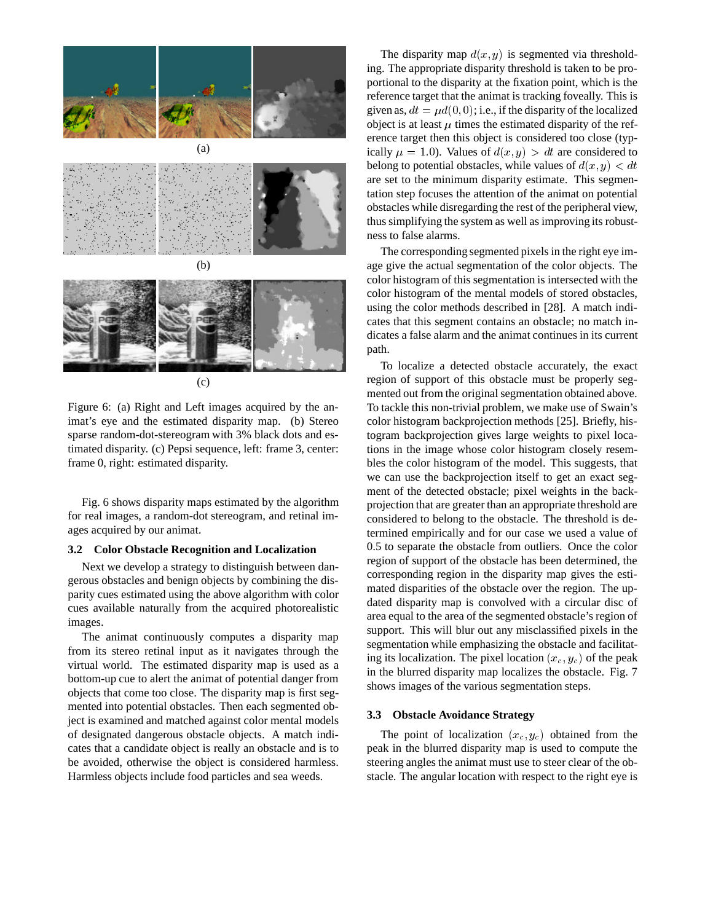





(c)

Figure 6: (a) Right and Left images acquired by the animat's eye and the estimated disparity map. (b) Stereo sparse random-dot-stereogram with 3% black dots and estimated disparity. (c) Pepsi sequence, left: frame 3, center: frame 0, right: estimated disparity.

Fig. 6 shows disparity maps estimated by the algorithm for real images, a random-dot stereogram, and retinal images acquired by our animat.

## **3.2 Color Obstacle Recognition and Localization**

Next we develop a strategy to distinguish between dangerous obstacles and benign objects by combining the disparity cues estimated using the above algorithm with color cues available naturally from the acquired photorealistic images.

The animat continuously computes a disparity map from its stereo retinal input as it navigates through the virtual world. The estimated disparity map is used as a bottom-up cue to alert the animat of potential danger from objects that come too close. The disparity map is first segmented into potential obstacles. Then each segmented object is examined and matched against color mental models of designated dangerous obstacle objects. A match indicates that a candidate object is really an obstacle and is to be avoided, otherwise the object is considered harmless. Harmless objects include food particles and sea weeds.

The disparity map  $d(x, y)$  is segmented via thresholding. The appropriate disparity threshold is taken to be proportional to the disparity at the fixation point, which is the reference target that the animat is tracking foveally. This is given as,  $dt = \mu d(0, 0)$ ; i.e., if the disparity of the localized object is at least  $\mu$  times the estimated disparity of the reference target then this object is considered too close (typically  $\mu = 1.0$ ). Values of  $d(x, y) > dt$  are considered to belong to potential obstacles, while values of  $d(x, y) < dt$ are set to the minimum disparity estimate. This segmentation step focuses the attention of the animat on potential obstacles while disregarding the rest of the peripheral view, thus simplifying the system as well as improving its robustness to false alarms.

The corresponding segmented pixels in the right eye image give the actual segmentation of the color objects. The color histogram of this segmentation is intersected with the color histogram of the mental models of stored obstacles, using the color methods described in [28]. A match indicates that this segment contains an obstacle; no match indicates a false alarm and the animat continues in its current path.

To localize a detected obstacle accurately, the exact region of support of this obstacle must be properly segmented out from the original segmentation obtained above. To tackle this non-trivial problem, we make use of Swain's color histogram backprojection methods [25]. Briefly, histogram backprojection gives large weights to pixel locations in the image whose color histogram closely resembles the color histogram of the model. This suggests, that we can use the backprojection itself to get an exact segment of the detected obstacle; pixel weights in the backprojection that are greater than an appropriate threshold are considered to belong to the obstacle. The threshold is determined empirically and for our case we used a value of 0.5 to separate the obstacle from outliers. Once the color region of support of the obstacle has been determined, the corresponding region in the disparity map gives the estimated disparities of the obstacle over the region. The updated disparity map is convolved with a circular disc of area equal to the area of the segmented obstacle's region of support. This will blur out any misclassified pixels in the segmentation while emphasizing the obstacle and facilitating its localization. The pixel location  $(x_c, y_c)$  of the peak in the blurred disparity map localizes the obstacle. Fig. 7 shows images of the various segmentation steps.

#### **3.3 Obstacle Avoidance Strategy**

The point of localization  $(x_c, y_c)$  obtained from the peak in the blurred disparity map is used to compute the steering angles the animat must use to steer clear of the obstacle. The angular location with respect to the right eye is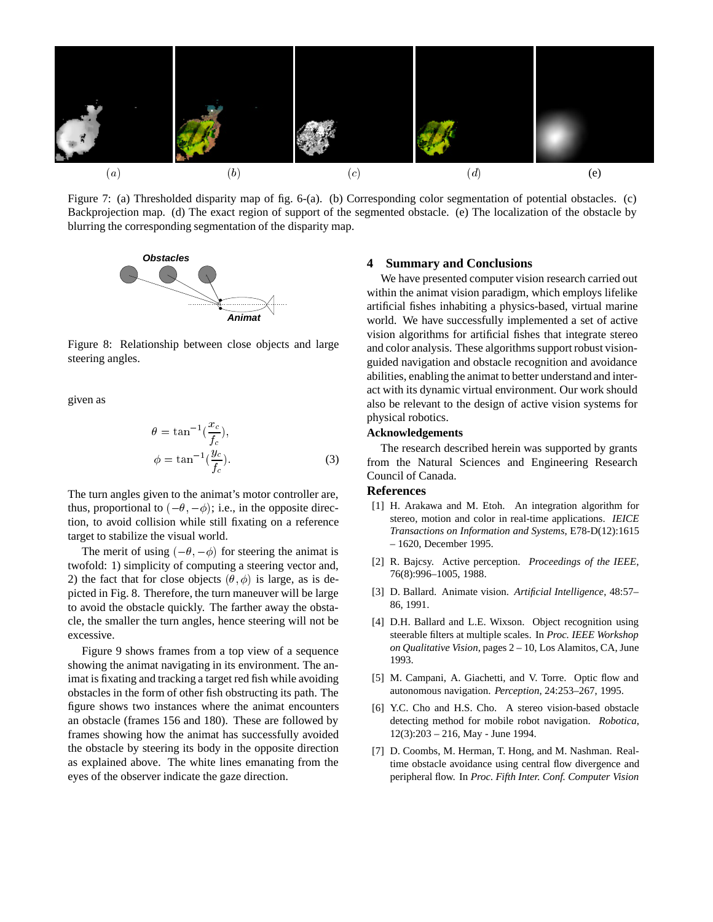

Figure 7: (a) Thresholded disparity map of fig. 6-(a). (b) Corresponding color segmentation of potential obstacles. (c) Backprojection map. (d) The exact region of support of the segmented obstacle. (e) The localization of the obstacle by blurring the corresponding segmentation of the disparity map.



Figure 8: Relationship between close objects and large steering angles.

given as

$$
\theta = \tan^{-1}(\frac{x_c}{f_c}),
$$
  
\n
$$
\phi = \tan^{-1}(\frac{y_c}{f_c}).
$$
\n(3)

The turn angles given to the animat's motor controller are, thus, proportional to  $(-\theta, -\phi)$ ; i.e., in the opposite direction, to avoid collision while still fixating on a reference target to stabilize the visual world.

The merit of using  $(-\theta, -\phi)$  for steering the animat is twofold: 1) simplicity of computing a steering vector and, 2) the fact that for close objects  $(\theta, \phi)$  is large, as is depicted in Fig. 8. Therefore, the turn maneuver will be large to avoid the obstacle quickly. The farther away the obstacle, the smaller the turn angles, hence steering will not be excessive.

Figure 9 shows frames from a top view of a sequence showing the animat navigating in its environment. The animat is fixating and tracking a target red fish while avoiding obstacles in the form of other fish obstructing its path. The figure shows two instances where the animat encounters an obstacle (frames 156 and 180). These are followed by frames showing how the animat has successfully avoided the obstacle by steering its body in the opposite direction as explained above. The white lines emanating from the eyes of the observer indicate the gaze direction.

## **4 Summary and Conclusions**

We have presented computer vision research carried out within the animat vision paradigm, which employs lifelike artificial fishes inhabiting a physics-based, virtual marine world. We have successfully implemented a set of active vision algorithms for artificial fishes that integrate stereo and color analysis. These algorithms support robust visionguided navigation and obstacle recognition and avoidance abilities, enabling the animat to better understand and interact with its dynamic virtual environment. Our work should also be relevant to the design of active vision systems for physical robotics.

#### **Acknowledgements**

The research described herein was supported by grants from the Natural Sciences and Engineering Research Council of Canada.

## **References**

- [1] H. Arakawa and M. Etoh. An integration algorithm for stereo, motion and color in real-time applications. *IEICE Transactions on Information and Systems*, E78-D(12):1615 – 1620, December 1995.
- [2] R. Bajcsy. Active perception. *Proceedings of the IEEE*, 76(8):996–1005, 1988.
- [3] D. Ballard. Animate vision. *Artificial Intelligence*, 48:57– 86, 1991.
- [4] D.H. Ballard and L.E. Wixson. Object recognition using steerable filters at multiple scales. In *Proc. IEEE Workshop on Qualitative Vision*, pages 2 – 10, Los Alamitos, CA, June 1993.
- [5] M. Campani, A. Giachetti, and V. Torre. Optic flow and autonomous navigation. *Perception*, 24:253–267, 1995.
- [6] Y.C. Cho and H.S. Cho. A stereo vision-based obstacle detecting method for mobile robot navigation. *Robotica*, 12(3):203 – 216, May - June 1994.
- [7] D. Coombs, M. Herman, T. Hong, and M. Nashman. Realtime obstacle avoidance using central flow divergence and peripheral flow. In *Proc. Fifth Inter. Conf. Computer Vision*